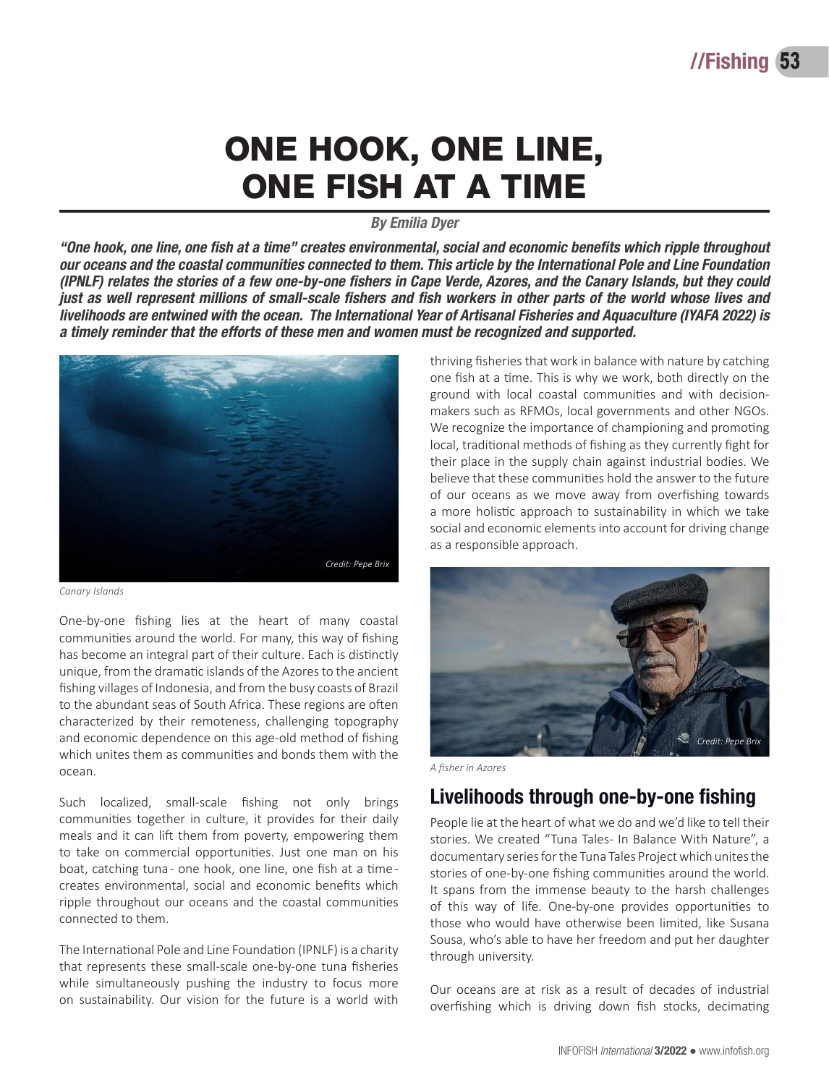# ONE HOOK, ONE LINE, ONE FISH AT A TIME

#### *By Emilia Dyer*

*"One hook, one line, one fish at a time" creates environmental, social and economic benefits which ripple throughout our oceans and the coastal communities connected to them. This article by the International Pole and Line Foundation (IPNLF) relates the stories of a few one-by-one fishers in Cape Verde, Azores, and the Canary Islands, but they could just as well represent millions of small-scale fishers and fish workers in other parts of the world whose lives and livelihoods are entwined with the ocean. The International Year of Artisanal Fisheries and Aquaculture (IYAFA 2022) is a timely reminder that the efforts of these men and women must be recognized and supported.* 



*Canary Islands*

One-by-one fishing lies at the heart of many coastal communities around the world. For many, this way of fishing has become an integral part of their culture. Each is distinctly unique, from the dramatic islands of the Azores to the ancient fishing villages of Indonesia, and from the busy coasts of Brazil to the abundant seas of South Africa. These regions are often characterized by their remoteness, challenging topography and economic dependence on this age-old method of fishing which unites them as communities and bonds them with the ocean.

Such localized, small-scale fishing not only brings communities together in culture, it provides for their daily meals and it can lift them from poverty, empowering them to take on commercial opportunities. Just one man on his boat, catching tuna - one hook, one line, one fish at a time creates environmental, social and economic benefits which ripple throughout our oceans and the coastal communities connected to them.

The International Pole and Line Foundation (IPNLF) is a charity that represents these small-scale one-by-one tuna fisheries while simultaneously pushing the industry to focus more on sustainability. Our vision for the future is a world with

thriving fisheries that work in balance with nature by catching one fish at a time. This is why we work, both directly on the ground with local coastal communities and with decisionmakers such as RFMOs, local governments and other NGOs. We recognize the importance of championing and promoting local, traditional methods of fishing as they currently fight for their place in the supply chain against industrial bodies. We believe that these communities hold the answer to the future of our oceans as we move away from overfishing towards a more holistic approach to sustainability in which we take social and economic elements into account for driving change as a responsible approach.



*A fisher in Azores*

### Livelihoods through one-by-one fishing

People lie at the heart of what we do and we'd like to tell their stories. We created "Tuna Tales- In Balance With Nature", a documentary series for the Tuna Tales Project which unites the stories of one-by-one fishing communities around the world. It spans from the immense beauty to the harsh challenges of this way of life. One-by-one provides opportunities to those who would have otherwise been limited, like Susana Sousa, who's able to have her freedom and put her daughter through university.

Our oceans are at risk as a result of decades of industrial overfishing which is driving down fish stocks, decimating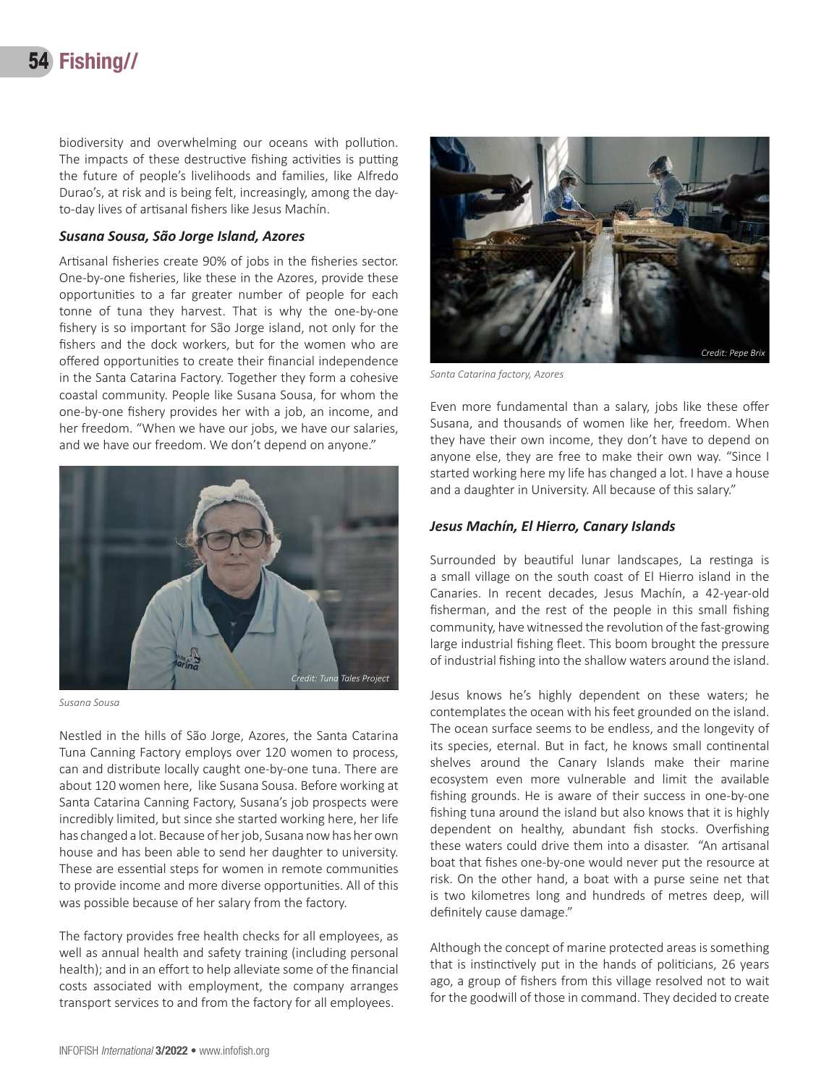biodiversity and overwhelming our oceans with pollution. The impacts of these destructive fishing activities is putting the future of people's livelihoods and families, like Alfredo Durao's, at risk and is being felt, increasingly, among the dayto-day lives of artisanal fishers like Jesus Machín.

#### *Susana Sousa, São Jorge Island, Azores*

Artisanal fisheries create 90% of jobs in the fisheries sector. One-by-one fisheries, like these in the Azores, provide these opportunities to a far greater number of people for each tonne of tuna they harvest. That is why the one-by-one fishery is so important for São Jorge island, not only for the fishers and the dock workers, but for the women who are offered opportunities to create their financial independence in the Santa Catarina Factory. Together they form a cohesive coastal community. People like Susana Sousa, for whom the one-by-one fishery provides her with a job, an income, and her freedom. "When we have our jobs, we have our salaries, and we have our freedom. We don't depend on anyone."



*Susana Sousa* 

Nestled in the hills of São Jorge, Azores, the Santa Catarina Tuna Canning Factory employs over 120 women to process, can and distribute locally caught one-by-one tuna. There are about 120 women here, like Susana Sousa. Before working at Santa Catarina Canning Factory, Susana's job prospects were incredibly limited, but since she started working here, her life has changed a lot. Because of her job, Susana now has her own house and has been able to send her daughter to university. These are essential steps for women in remote communities to provide income and more diverse opportunities. All of this was possible because of her salary from the factory.

The factory provides free health checks for all employees, as well as annual health and safety training (including personal health); and in an effort to help alleviate some of the financial costs associated with employment, the company arranges transport services to and from the factory for all employees.



*Santa Catarina factory, Azores*

Even more fundamental than a salary, jobs like these offer Susana, and thousands of women like her, freedom. When they have their own income, they don't have to depend on anyone else, they are free to make their own way. "Since I started working here my life has changed a lot. I have a house and a daughter in University. All because of this salary."

#### *Jesus Machín, El Hierro, Canary Islands*

Surrounded by beautiful lunar landscapes, La restinga is a small village on the south coast of El Hierro island in the Canaries. In recent decades, Jesus Machín, a 42-year-old fisherman, and the rest of the people in this small fishing community, have witnessed the revolution of the fast-growing large industrial fishing fleet. This boom brought the pressure of industrial fishing into the shallow waters around the island.

Jesus knows he's highly dependent on these waters; he contemplates the ocean with his feet grounded on the island. The ocean surface seems to be endless, and the longevity of its species, eternal. But in fact, he knows small continental shelves around the Canary Islands make their marine ecosystem even more vulnerable and limit the available fishing grounds. He is aware of their success in one-by-one fishing tuna around the island but also knows that it is highly dependent on healthy, abundant fish stocks. Overfishing these waters could drive them into a disaster. "An artisanal boat that fishes one-by-one would never put the resource at risk. On the other hand, a boat with a purse seine net that is two kilometres long and hundreds of metres deep, will definitely cause damage."

Although the concept of marine protected areas is something that is instinctively put in the hands of politicians, 26 years ago, a group of fishers from this village resolved not to wait for the goodwill of those in command. They decided to create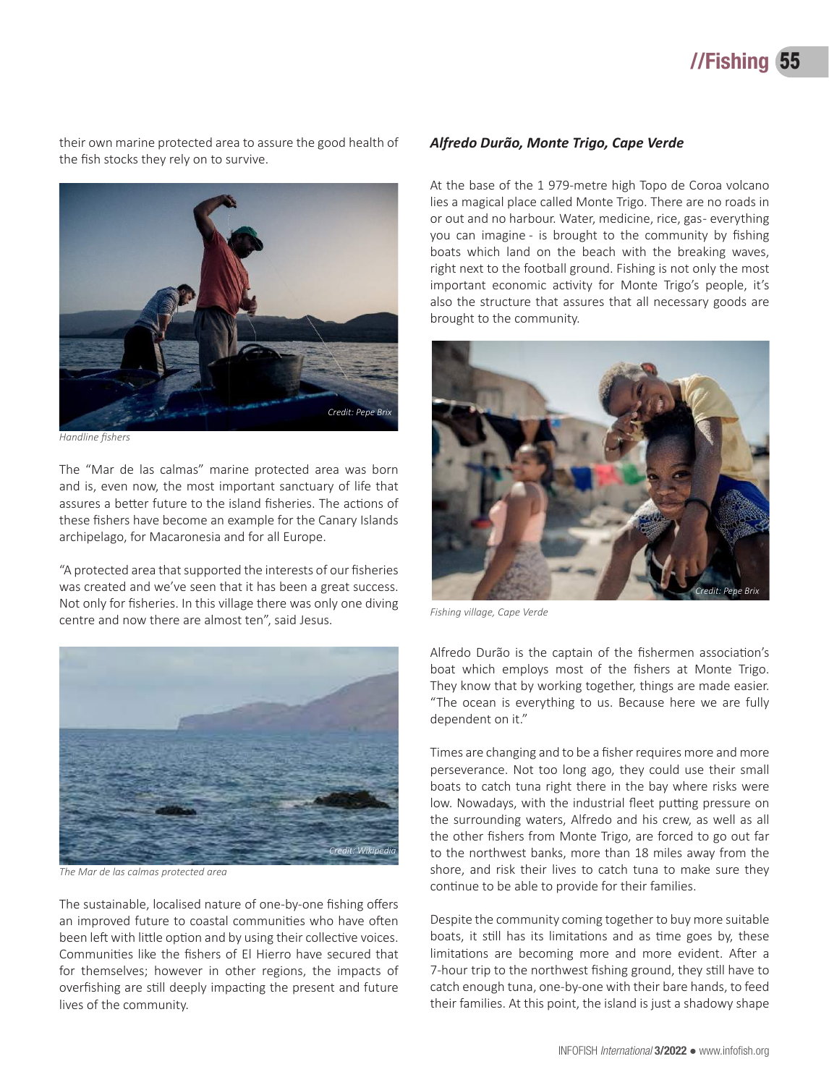## 55 //Fishing

their own marine protected area to assure the good health of the fish stocks they rely on to survive.



*Handline fishers*

The "Mar de las calmas" marine protected area was born and is, even now, the most important sanctuary of life that assures a better future to the island fisheries. The actions of these fishers have become an example for the Canary Islands archipelago, for Macaronesia and for all Europe.

"A protected area that supported the interests of our fisheries was created and we've seen that it has been a great success. Not only for fisheries. In this village there was only one diving centre and now there are almost ten", said Jesus.



*The Mar de las calmas protected area*

The sustainable, localised nature of one-by-one fishing offers an improved future to coastal communities who have often been left with little option and by using their collective voices. Communities like the fishers of El Hierro have secured that for themselves; however in other regions, the impacts of overfishing are still deeply impacting the present and future lives of the community.

#### *Alfredo Durão, Monte Trigo, Cape Verde*

At the base of the 1 979-metre high Topo de Coroa volcano lies a magical place called Monte Trigo. There are no roads in or out and no harbour. Water, medicine, rice, gas-everything you can imagine - is brought to the community by fishing boats which land on the beach with the breaking waves, right next to the football ground. Fishing is not only the most important economic activity for Monte Trigo's people, it's also the structure that assures that all necessary goods are brought to the community.



*Fishing village, Cape Verde*

Alfredo Durão is the captain of the fishermen association's boat which employs most of the fishers at Monte Trigo. They know that by working together, things are made easier. "The ocean is everything to us. Because here we are fully dependent on it."

Times are changing and to be a fisher requires more and more perseverance. Not too long ago, they could use their small boats to catch tuna right there in the bay where risks were low. Nowadays, with the industrial fleet putting pressure on the surrounding waters, Alfredo and his crew, as well as all the other fishers from Monte Trigo, are forced to go out far to the northwest banks, more than 18 miles away from the shore, and risk their lives to catch tuna to make sure they continue to be able to provide for their families.

Despite the community coming together to buy more suitable boats, it still has its limitations and as time goes by, these limitations are becoming more and more evident. After a 7-hour trip to the northwest fishing ground, they still have to catch enough tuna, one-by-one with their bare hands, to feed their families. At this point, the island is just a shadowy shape